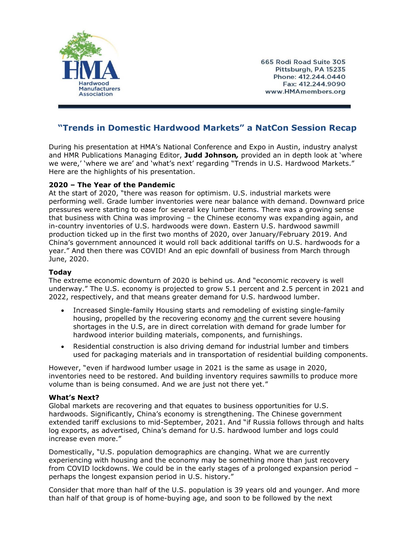

665 Rodi Road Suite 305 Pittsburgh, PA 15235 Phone: 412.244.0440 Fax: 412.244.9090 www.HMAmembers.org

## **"Trends in Domestic Hardwood Markets" a NatCon Session Recap**

During his presentation at HMA's National Conference and Expo in Austin, industry analyst and HMR Publications Managing Editor, **Judd Johnson***,* provided an in depth look at 'where we were,' 'where we are' and 'what's next' regarding "Trends in U.S. Hardwood Markets." Here are the highlights of his presentation.

## **2020 – The Year of the Pandemic**

At the start of 2020, "there was reason for optimism. U.S. industrial markets were performing well. Grade lumber inventories were near balance with demand. Downward price pressures were starting to ease for several key lumber items. There was a growing sense that business with China was improving – the Chinese economy was expanding again, and in-country inventories of U.S. hardwoods were down. Eastern U.S. hardwood sawmill production ticked up in the first two months of 2020, over January/February 2019. And China's government announced it would roll back additional tariffs on U.S. hardwoods for a year." And then there was COVID! And an epic downfall of business from March through June, 2020.

## **Today**

The extreme economic downturn of 2020 is behind us. And "economic recovery is well underway." The U.S. economy is projected to grow 5.1 percent and 2.5 percent in 2021 and 2022, respectively, and that means greater demand for U.S. hardwood lumber.

- Increased Single-family Housing starts and remodeling of existing single-family housing, propelled by the recovering economy and the current severe housing shortages in the U.S, are in direct correlation with demand for grade lumber for hardwood interior building materials, components, and furnishings.
- Residential construction is also driving demand for industrial lumber and timbers used for packaging materials and in transportation of residential building components.

However, "even if hardwood lumber usage in 2021 is the same as usage in 2020, inventories need to be restored. And building inventory requires sawmills to produce more volume than is being consumed. And we are just not there yet."

## **What's Next?**

Global markets are recovering and that equates to business opportunities for U.S. hardwoods. Significantly, China's economy is strengthening. The Chinese government extended tariff exclusions to mid-September, 2021. And "if Russia follows through and halts log exports, as advertised, China's demand for U.S. hardwood lumber and logs could increase even more."

Domestically, "U.S. population demographics are changing. What we are currently experiencing with housing and the economy may be something more than just recovery from COVID lockdowns. We could be in the early stages of a prolonged expansion period – perhaps the longest expansion period in U.S. history."

Consider that more than half of the U.S. population is 39 years old and younger. And more than half of that group is of home-buying age, and soon to be followed by the next